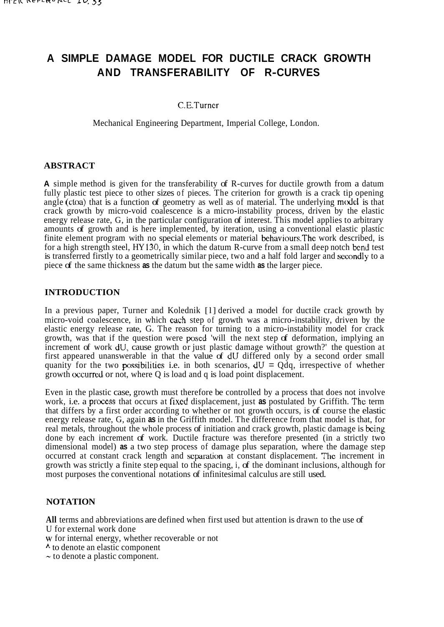# **A SIMPLE DAMAGE MODEL FOR DUCTILE CRACK GROWTH AND TRANSFERABILITY OF R-CURVES**

### C.E.Turner

Mechanical Engineering Department, Imperial College, London.

### **ABSTRACT**

**A** simple method is given for the transferability of R-curves for ductile growth from a datum fully plastic test piece to other sizes of pieces. The criterion for growth is a crack tip opening angle (ctoa) that is a function of geometry as well as of material. The underlying model is that crack growth by micro-void coalescence is a micro-instability process, driven by the elastic energy release rate, G, in the particular configuration of interest. This model applies to arbitrary amounts of growth and is here implemented, by iteration, using a conventional elastic plastic finite element program with no special elements or material behaviours.The work described, is for a high strength steel, HY **130,** in which the datum R-curve from a small deep notch bend test is transferred firstly to a geometrically similar piece, two and a half fold larger and secondly to a piece of the same thickness **as** the datum but the same width **as** the larger piece.

### **INTRODUCTION**

In a previous paper, Turner and Kolednik [1] derived a model for ductile crack growth by micro-void coalescence, in which cach step of growth was a micro-instability, driven by the elastic energy release rate, G. The reason for turning to a micro-instability model for crack growth, was that if the question were poscd 'will the next step of deformation, implying an increment of work dU, cause growth or just plastic damage without growth?' the question at first appeared unanswerable in that the value of dU differed only by a second order small quanity for the two possibilities i.e. in both scenarios,  $dU = Qdq$ , irrespective of whether growth cxcurred or not, where Q is load and q is load point displacement.

Even in the plastic case, growth must therefore be controlled by a process that does not involve work, i.e. a proccss that occurs at fixcd displacement, just **as** postulated by Griffith. Thc term that differs by a first order according to whether or not growth occurs, is of course the elastic energy release rate, G, again **as** in the Griffith model. The difference from that model is that, for real metals, throughout the whole process of initiation and crack growth, plastic damage is being done by each increment of work. Ductile fracture was therefore presented (in a strictly two dimensional model) **as** a two step process of damage plus separation, where the damage step occurred at constant crack length and separation at constant displacement. Thc increment in growth was strictly a finite step equal to the spacing, i, of the dominant inclusions, although for most purposes the conventional notations of infinitesimal calculus are still used.

### **NOTATION**

**All** terms and abbreviations are defined when first used but attention is drawn to the use of U for external work done

W for internal energy, whether recoverable or not

- **<sup>A</sup>**to denote an elastic component
- $\sim$  to denote a plastic component.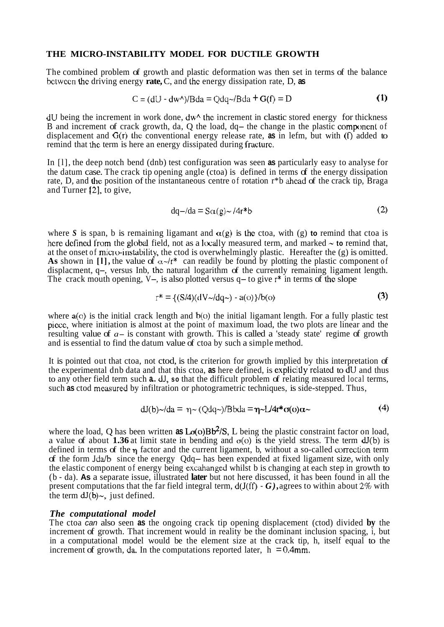#### **THE MICRO-INSTABILITY MODEL FOR DUCTILE GROWTH**

The combined problem of growth and plastic deformation was then set in terms of the balance bctwccn the driving energy **rate,** C, and the energy dissipation rate, D, **as** 

$$
C = (dU - dw^*)/Bda = Qdq \sim /Bda + G(f) = D
$$
 (1)

 $\sim 10$ 

 $dU$  being the increment in work done,  $dW^{\wedge}$  the increment in clastic stored energy for thickness B and increment of crack growth, da, Q the load, dq- the change in the plastic component of displacement and G(r) the conventional energy release rate, **as** in lefm, but with **(f)** added to remind that the term is here an energy dissipated during fracture.

In [l], the deep notch bend (dnb) test configuration was seen **as** particularly easy to analyse for the datum case. The crack tip opening angle (ctoa) is defined in terms of the energy dissipation rate, D, and the position of the instantaneous centre of rotation r\*b ahcad of the crack tip, Braga and Turner [2], to give,

$$
dq - /da = S\alpha(g) \sim /4r^*b
$$
 (2)

where S is span, b is remaining ligamant and  $\alpha(g)$  is the ctoa, with (g) to remind that ctoa is here defined from the global field, not as a locally measured term, and marked  $\sim$  to remind that, at the onset of micro-instability, the ctod is overwhelmingly plastic. Hereafter the  $(g)$  is omitted. As shown in [1], the value of  $\alpha$ -/r<sup>\*</sup> can readily be found by plotting the plastic component of displacment, q-, versus Inb, the natural logarithm of the currently remaining ligament length. The crack mouth opening,  $V_{-}$ , is also plotted versus  $q$  – to give  $r^*$  in terms of the slope

$$
r^* = \{ (S/4)(dV \sim /dq \sim) - a(o) \} / b(o)
$$
 (3)

where a(o) is the initial crack length and  $b$ (o) the initial ligamant length. For a fully plastic test piece, where initiation is almost at the point of maximum load, the two plots are linear and the resulting value of *a-* is constant with growth. This is called a 'steady state' regime of growth and is essential to find the datum value of ctoa by such a simple method.

It is pointed out that ctoa, not ctod, is the criterion for growth implied by this interpretation of the experimental dnb data and that this ctoa, **as** here defined, is explicitly related to dU and thus to any other field term such **a..** dJ, **so** that the difficult problem of relating measured local terms, such **as** ctod meamred by infiltration or photogrametric techniques, is side-stepped. Thus,

$$
dJ(b) \sim d a = \eta \sim (Q dq \sim) / B b d a = \eta \sim L / 4r^* \sigma(o) \alpha \sim
$$
 (4)

where the load, Q has been written **as**  $L\sigma(o)Bb^2/S$ , L being the plastic constraint factor on load, a value of about **1.36** at limit state in bending and  $\sigma$ (o) is the yield stress. The term  $dJ(b)$  is defined in terms of the **q** factor and the current ligament, b, without a so-called correction term of the form Jda/b since the energy Qdq- has been expended at fixed ligament size, with only the elastic component of energy being excahanged whilst b is changing at each step in growth to (b - da). **As** a separate issue, illustrated **later** but not here discussed, it has been found in all the present computations that the far field integral term, d(J(ff) - *G),* agrees to within about 2% with the term  $dJ(b)$ ~, just defined.

#### *The computational model*

The ctoa *can* also seen **as** the ongoing crack tip opening displacement (ctod) divided **by** the increment of growth. That increment would in reality be the dominant inclusion spacing, i, but in a computational model would be the element size at the crack tip, h, itself equal to the increment of growth, da. In the computations reported later,  $h = 0.4$ mm.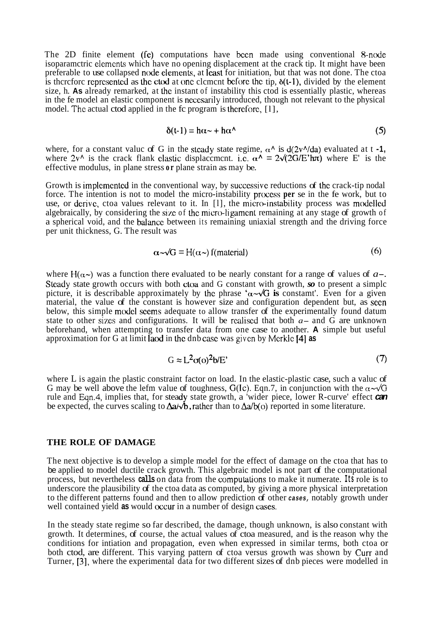The 2D finite element (fe) computations have been made using conventional 8-node isoparamctric elements which have no opening displacement at the crack tip. It might have been preferable to use collapsed node elements, at least for initiation, but that was not done. The ctoa is therefore represented as the ctod at one clement before the tip,  $\delta(t-1)$ , divided by the element size, h. **As** already remarked, at the instant of instability this ctod is essentially plastic, whereas in the fe model an elastic component is necesarily introduced, though not relevant to the physical model. The actual ctod applied in the fc program is therefore, [1],

$$
\delta(t-1) = h\alpha \sim + h\alpha^{\wedge} \tag{5}
$$

where, for a constant value of G in the steady state regime,  $\alpha^{\wedge}$  is  $d(2v^{\wedge}/da)$  evaluated at t -1, where  $2v^{\wedge}$  is the crack flank clastic displacement. i.e.  $\alpha^{\wedge} = 2\sqrt{(2G/E')\pi}$  where E' is the effective modulus, in plane stress **or** plane strain as may be.

Growth is implemented in the conventional way, by successive reductions of the crack-tip nodal force. The intention is not to model the micro-instability process **per** se in the fe work, but to use, or derive, ctoa values relevant to it. In [1], the micro-instability process was modelled algebraically, by considering the size of the micro-ligament remaining at any stage of growth of a spherical void, and the balancc between its remaining uniaxial strength and the driving force per unit thickness, G. The result was

$$
\alpha \sim \sqrt{G} = H(\alpha \sim) \text{ f(material)}
$$
 (6)

where  $H(\alpha)$  was a function there evaluated to be nearly constant for a range of values of  $a-$ . Steady state growth occurs with both cloa and G constant with growth, so to present a simple picture, it is describable approximately by the phrase  $\alpha \sim \sqrt{G}$  is constant'. Even for a given material, the value of the constant is however size and configuration dependent but, as seen below, this simple model seems adequate to allow transfer of the experimentally found datum state to other sizes and configurations. It will be realised that both  $a-$  and G are unknown beforehand, when attempting to transfer data from one case to another. **A** simple but useful approximation for G at limit lad in thc dnb casc was given by Mcrkle 141 **as** 

$$
G \approx L^2 \sigma(o)^2 b/E'
$$
 (7)

where L is again the plastic constraint factor on load. In the elastic-plastic case, such a value of G may be well above the lefm value of toughness,  $G(Ic)$ . Eqn.7, in conjunction with the  $\alpha \sim \sqrt{G}$ rule and Eqn.4, implies that, for steady state growth, a 'wider piece, lower R-curve' effect **can** be expected, the curves scaling to  $\Delta a/\sqrt{b}$ , rather than to  $\Delta a/b(0)$  reported in some literature.

#### **THE ROLE OF DAMAGE**

The next objective is to develop a simple model for the effect of damage on the ctoa that has to be applied to model ductile crack growth. This algebraic model is not part of the computational process, but nevertheless **calls** on data from the cornputations to make it numerate. **Its** role is to underscore the plausibility of the ctoa data as computed, by giving a more physical interpretation to the different patterns found and then to allow prediction of other *cases,* notably growth under well contained yield as would occur in a number of design cases.

In the steady state regime so far described, the damage, though unknown, is also constant with growth. It determines, of course, the actual values of ctoa measured, and is the reason why the conditions for intiation and propagation, even when expressed in similar terms, both ctoa or both ctod, are different. This varying pattern of ctoa versus growth was shown by Curr and Turner, **[3],** where the experimental data for two different sizes of dnb pieces were modelled in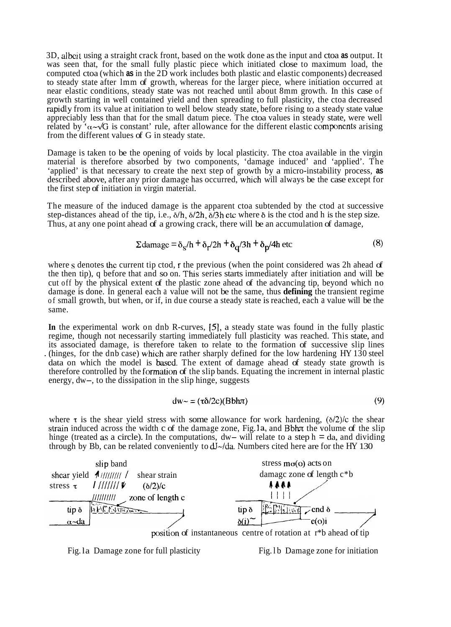3D, albeit using a straight crack front, based on the wotk done as the input and ctoa **as** output. It was seen that, for the small fully plastic piece which initiated close to maximum load, the computed ctoa (which **as** in the 2D work includes both plastic and elastic components) decreased to steady state after lmm of growth, whereas for the larger piece, where initiation occurred at near elastic conditions, steady state was not reached until about 8mm growth. In this case of growth starting in well contained yield and then spreading to full plasticity, the ctoa decreased rapidly from its value at initiation to well below steady state, before rising to a steady state value appreciably less than that for the small datum piece. The ctoa values in steady state, were well related by ' $\alpha \sim \sqrt{G}$  is constant' rule, after allowance for the different elastic components arising from the different values of G in steady state.

Damage is taken to be the opening of voids by local plasticity. The ctoa available in the virgin material is therefore absorbed by two components, 'damage induced' and 'applied'. The 'applied' is that necessary to create the next step of growth by a micro-instability process, **as**  described above, after any prior damage has occurred, whch will always be the case except for the first step of initiation in virgin material.

The measure of the induced damage is the apparent ctoa subtended by the ctod at successive step-distances ahead of the tip, i.e., 6/h, 6/2h, 6/3h etc where **6** is the ctod and h is the step size. Thus, at any one point ahead of a growing crack, there will be an accumulation of damage,

$$
\Sigma \text{ damage} = \delta_S / h + \delta_{r} / 2h + \delta_{q} / 3h + \delta_{p} / 4h \text{ etc}
$$
 (8)

where s denotes the current tip ctod, **r** the previous (when the point considered was 2h ahead of the then tip), q before that and so on. This series starts immediately after initiation and will be cut off by the physical extent of the plastic zone ahead of the advancing tip, beyond which no damage is done. In general each a value will not be the same, thus **defining** the transient regime of small growth, but when, or if, in due course a steady state is reached, each a value will be the same.

**In** the experimental work on dnb R-curves, *[S],* a steady state was found in the fully plastic regime, though not necessarily starting immediately full plasticity was reached. This state, and its associated damage, is therefore taken to relate to the formation of successive slip lines . (hinges, for the dnb case) which are rather sharply defined for the low hardening  $HY 130$  steel data on which the model is based. The extent of damage ahead of steady state growth is therefore controlled by the formation of the slip bands. Equating the increment in internal plastic energy, dw-, to the dissipation in the slip hinge, suggests

$$
dw \sim = (\tau \delta / 2c)(Bbh\pi) \tag{9}
$$

where  $\tau$  is the shear yield stress with some allowance for work hardening,  $(\delta/2)/c$  the shear strain induced across the width c of the damage zone, Fig. 1a, and Bbh $\pi$  the volume of the slip hinge (treated as a circle). In the computations,  $dw$ - will relate to a step  $h = da$ , and dividing through by Bb, can be related conveniently to  $dJ$ -/da. Numbers cited here are for the HY 130



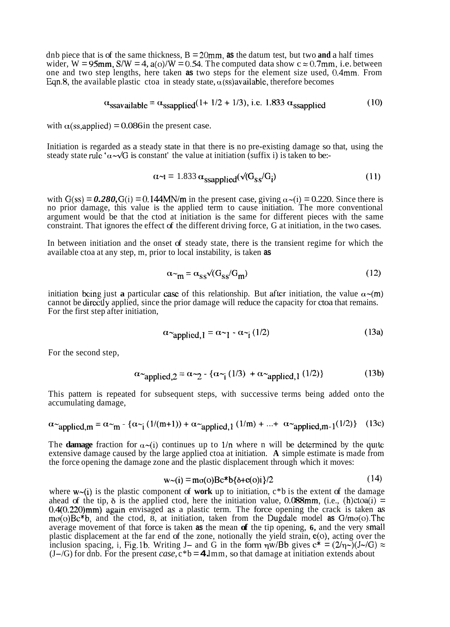dnb piece that is of the same thickness,  $B = 20$ mm, as the datum test, but two and a half times wider, W =  $95$ mm,  $S/W = 4$ ,  $a(o)/W = 0.54$ . The computed data show  $c \approx 0.7$ mm, i.e. between one and two step lengths, here taken **as** two steps for the element size used, 0.4mm. From Eqn.8, the available plastic ctoa in steady state,  $\alpha$ (ss)available, therefore becomes

$$
\alpha_{ssavailable} = \alpha_{ssapplied}(1 + 1/2 + 1/3), \text{ i.e. } 1.833 \alpha_{ssapplied} \tag{10}
$$

with  $\alpha$ (ss,applied) = 0.086 in the present case.

Initiation is regarded as a steady state in that there is no pre-existing damage so that, using the steady state rule  $\alpha \sim \sqrt{G}$  is constant' the value at initiation (suffix i) is taken to be:-

$$
\alpha \sim t = 1.833 \alpha_{\text{ssapplied}} (\sqrt{(\mathbf{G}_{\text{SS}}/\mathbf{G}_{\text{i}})}) \tag{11}
$$

with  $G(ss) = 0.280$ ,  $G(i) = 0.144$ MN/m in the present case, giving  $\alpha$   $\sim$ (i) = 0.220. Since there is no prior damage, this value is the applied term to cause initiation. The more conventional argument would be that the ctod at initiation is the same for different pieces with the same constraint. That ignores the effect of the different driving force, G at initiation, in the two cases.

In between initiation and the onset of steady state, there is the transient regime for which the available ctoa at any step, m, prior to local instability, is taken **as** 

$$
\alpha_{\mathbf{m}} = \alpha_{\mathbf{SS}} \sqrt{(\mathbf{G}_{\mathbf{SS}}/\mathbf{G}_{\mathbf{m}})}\tag{12}
$$

initiation being just **a** particular case of this relationship. But after initiation, the value  $\alpha$ -(m) cannot be directly applied, since the prior damage will reduce the capacity for ctoa that remains. For the first step after initiation,

$$
\alpha_{\text{applied},1} = \alpha_{\text{eq}} \cdot \alpha_{\text{eq}} \cdot (1/2) \tag{13a}
$$

For the second step,

$$
\alpha_{\text{applied},2} = \alpha_{\text{eq}} \cdot \{ \alpha_{\text{eq}} \cdot (1/3) + \alpha_{\text{applied},1} \cdot (1/2) \} \tag{13b}
$$

This pattern is repeated for subsequent steps, with successive terms being added onto the accumulating damage,

$$
\alpha_{\text{applied,m}} = \alpha_{\text{m}} - \{ \alpha_{\text{m}} \cdot (1/(m+1)) + \alpha_{\text{applied},1} (1/m) + \dots + \alpha_{\text{applied},m-1} (1/2) \} \tag{13c}
$$

The **damage** fraction for  $\alpha$ -(i) continues up to 1/n where n will be determined by the quite extensive damage caused by the large applied ctoa at initiation. **A** simple estimate is made from the force opening the damage zone and the plastic displacement through which it moves:

$$
w \sim (i) = m\sigma(o)Bc^*b\{\delta + e(o)i\}/2
$$
 (14)

where  $w$ -(i) is the plastic component of work up to initiation,  $c$ <sup>\*</sup>b is the extent of the damage ahead of the tip,  $\delta$  is the applied ctod, here the initiation value, 0.088mm, (i.e., (h)ctoa(i) = 0.4(0.220)mm) again envisaged as a plastic term. The force opening the crack is taken as ma(o)Bc\*b, and the ctod, 8, at initiation, taken from the Dugdale model **as** G/mo(o).The average movement of that force is taken **as** the mean **of** the tip opening, **6,** and the very small plastic displacement at the far end of the zone, notionally the yield strain, e(o), acting over the inclusion spacing, i, Fig. 1b. Writing J- and G in the form  $\eta w/bb$  gives  $c^* = (2/\eta \sim)(J \sim /G) \approx$ inclusion spacing, i, Fig.1b. Writing J– and G in the form  $\eta w/Bb$  gives  $c^* = (2/\eta \sim)(J \sim/G)$ <br>(J–/G) for dnb. For the present *case*,  $c^*b = 4 \text{Jmm}$ , so that damage at initiation extends about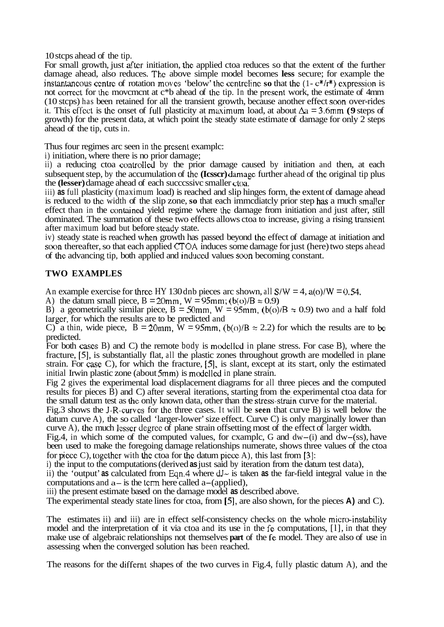10 stcps ahead of the tip.

For small growth, just after initiation, thc applied ctoa reduces so that the extent of the further damage ahead, also reduces. The above simple model becomes **less** secure; for example the instantancous ccntrc of rotation movcs 'below' thc centrclinc **so** that the (1- c\*/r\*) exprcssion is not correct for **the** movcmcnt at c\*b ahead of the tip. In the prcsent work, the estimate of 4mm (10 stcps) has been retained for all the transient growth, because another effect soon over-rides it. This cffcct is **the** onset of full plasticity at maximum load, at about *Aa* = 3.6mm **(9** steps of growth) for the present data, at which point the steady state estimate of damage for only 2 steps ahead of the tip, cuts in.

Thus four regimes arc seen in the prcsent examplc:

i) initiation, where there is no prior damage;

ii) a reducing ctoa controlled by the prior damage caused by initiation and then, at each subsequent step, by the accumulation of thc **(Icsscr)** damagc further ahead of the original tip plus the **(lesser)** damage ahead of each successive smaller ctoa.

iii) **as** full plasticity (maximum load) is reached and slip hinges form, the extent of damage ahead is reduced to the width of the slip zone, so that each immcdiately prior step has a much smaller effect than in the contained yield regime where the damage from initiation and just after, still dominated. The summation of these two effects allows ctoa to increase, giving a rising transicnt after maximum load but before stcady state.

iv) steady state is reached whcn growth has passed beyond thc effect of damage at initiation and soon thereafter, so that each applied CTOA induces some damage for just (here) two steps ahead of thc advancing tip, both applied and induced values soon becoming constant.

# **TWO EXAMPLES**

An example exercise for three HY 130 dnb pieces arc shown, all  $S/W = 4$ ,  $a(0)/W = 0.54$ .

A) the datum small piece,  $B = 20$ mm,  $W = 95$ mm; (b(o)/ $B \approx 0.9$ )

B) a geometrically similar piece,  $B = 50$ mm,  $W = 95$ mm,  $(b(0)/B \approx 0.9)$  two and a half fold largcr, for which the results are to be predicted and

C) a thin, wide piece,  $B = 20$ mm,  $\hat{W} = 95$ mm,  $(b(o)/B \approx 2.2)$  for which the results are to be predicted.

For both cascs B) and C) the remote body is modellcd in plane stress. For case B), where the fracture, *[5],* is substantially flat, all the plastic zones throughout growth are modelled in plane strain. For *caSe* C), for which the fracture, *[S],* is slant, except at its start, only the estimated initial Irwin plastic zone (about 5mm) is modclled in plane strain.

Fig 2 gives the experimental load displacement diagrams for all three pieces and the computed results for pieces B) and C) after several iterations, starting from the experimental ctoa data for the small datum test as the only known data, other than the stress-strain curve for the material.

Fig.3 shows the J-R-curves for thc three cases. It will be **seen** that curve B) is well below the datum curve A), the so called 'larger-lower' size effect. Curve C) is only marginally lower than curve A), thc much **lcsscr** degrec of plane strain offsetting most of the effect of larger width.

Fig.4, in which some of the computed values, for example, G and  $dw$ -(i) and  $dw$ -(ss), have been used to make the foregoing damage relationships numerate, shows three values of the ctoa for piece C), together with the ctoa for the datum piece A), this last from [3]:

i) the input to the computations (derived **as** just said by iteration from the datum test data),

ii) the 'output' **as** calculated from Eqn.4 where **dl-** is taken **as** the far-field integral value in the computations and  $a$  – is the term here called  $a$  –(applied),

iii) the present estimate based on the damage model **as** described above.

The experimental steady state lines for ctoa, from *[5],* are also shown, for the pieces **A)** and C).

The estimates ii) and iii) are in effect self-consistency checks on the whole micro-instability model and the interpretation of it via ctoa and its use in the fe computations, [l], in that they make use of algebraic relationships not themselves **part** of the fe model. They are also of use in assessing when the converged solution has been reached.

The reasons for the differnt shapes of the two curves in Fig.4, fully plastic datum A), and the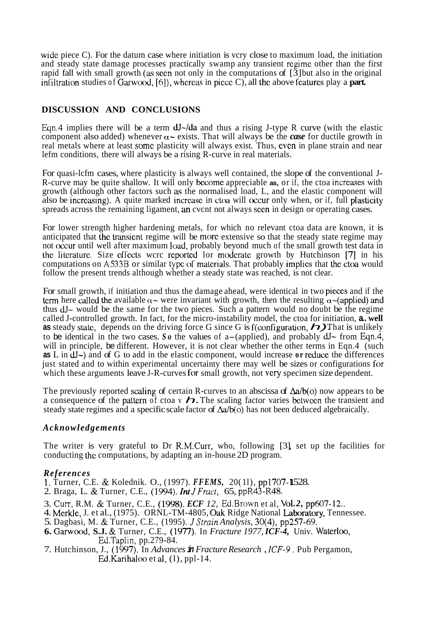wide piece C). For the datum case where initiation is vcry close to maximum load, the initiation and steady state damage processes practically swamp any transient rcgime other than the first rapid fall with small growth **(as** secn not only in the computations of [3] but also in the original infiltration studies of Garwood,  $[6]$ ), whereas in piece C), all the above features play a **part.** 

# **DISCUSSION AND CONCLUSIONS**

Eqn.4 implies there will be a term  $dJ$ - $/da$  and thus a rising J-type R curve (with the elastic component also added) whenever  $\alpha$  exists. That will always be the *case* for ductile growth in real metals where at least some plasticity will always exist. Thus, even in plane strain and near lefm conditions, there will always be a rising R-curve in real materials.

For quasi-lcfm cases, where plasticity is always well contained, the slope of the conventional J-R-curve may be quite shallow. It will only become appreciable as, or if, the ctoa increases with growth (although other factors such **as** the normalised load, L, and the elastic component will also be increasing). A quite marked increase in ctoa will occur only when, or if, full plasticity spreads across the remaining ligament, an cycnt not always seen in design or operating cases.

For lower strength higher hardening metals, for which no relevant ctoa data are known, it is anticipated that the transient regime will be more extensive so that the steady state regime may not occur until well after maximum load, probably beyond much of the small growth test data in the litcraturc. Size cffects wcrc rcportcd lor moderate growth by Hutchinson [7] in his computations on A533B or similar type of materials. That probably implies that the ctoa would follow the present trends although whether a steady state was reached, is not clear.

For small growth, if initiation and thus the damage ahead, were identical in two pieces and if the term here called the available  $\alpha$  were invariant with growth, then the resulting  $\alpha$  -(applied) and thus  $dJ<sub>></sub>$  would be the same for the two pieces. Such a pattern would no doubt be the regime called J-controlled growth. In fact, for the micro-instability model, the ctoa for initiation, **a.. well as** steady state, depends on the driving force G since G is f(configuration,  $\boldsymbol{\bigtriangledown}$ ). That is unlikely to be identical in the two cases. So the values of a-(applied), and probably  $dJ \sim$  from Eqn.4, will in principle, be different. However, it is not clear whether the other terms in Eqn.4 (such **as** L in **dJ-)** and of G to add in the elastic component, would increase **or** reduce the differences just stated and to within experimental uncertainty there may well be sizes or configurations for which these arguments leave J-R-curves for small growth, not very specimen size dependent.

The previously reported scaling of certain R-curves to an abscissa of  $\Delta a/b(0)$  now appears to be a consequence of the pattern of ctoa v  $\Delta$ . The scaling factor varies between the transient and steady state regimes and a specific scale factor of  $\Delta a/b$ (o) has not been deduced algebraically.

# *Acknowledgements*

The writer is very grateful to Dr R.M.Curr, who, following [3] set up the facilities for conducting the computations, by adapting an in-house 2D program.

# *References*

- 1. Turner, C.E. & Kolednik. O., (1997). FFEMS, 20(11), pp1707-1528.
- 2. Braga, L. & Turner, C.E., (1994). *Int JFract,* 65, ppR43-R48.
- 3. Curr, R.M. & Turner, C.E., (1998). *ECF 12*, Ed.Brown et al, Vol.2, pp607-12..
- 4. Merkle, J. et al., (1975). ORNL-TM-4805, Oak Ridge National Laboratory, Tennessee.
- 5. Dagbasi, M. & Turner, C.E., (1995). *JStrain Analysis,* 30(4), pp257-69.
- **6.** Garwood, **S.J.** & Turner, C.E., (lY77). In *Fracture 1977, ICF-4,* Univ. Watcrloo, Ed.Taplin, pp.279-84.
- 7. Hutchinson, J., (1997). In *Advances in Fracture Research* , *ICF-9.* Pub Pergamon, Ed.Karihaloo et al, (1), ppl-14.